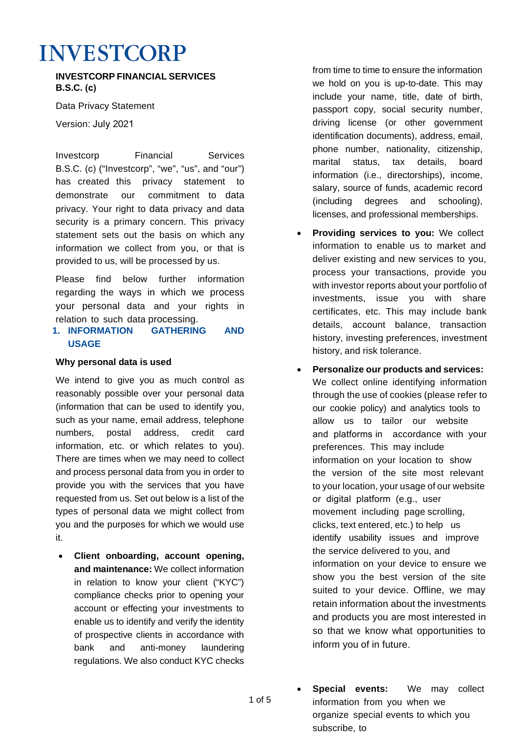# **INVESTCORP**

**INVESTCORP FINANCIAL SERVICES B.S.C. (c)**

Data Privacy Statement

Version: July 2021

Investcorp Financial Services B.S.C. (c) ("Investcorp", "we", "us", and "our") has created this privacy statement to demonstrate our commitment to data privacy. Your right to data privacy and data security is a primary concern. This privacy statement sets out the basis on which any information we collect from you, or that is provided to us, will be processed by us.

Please find below further information regarding the ways in which we process your personal data and your rights in relation to such data processing.

## **1. INFORMATION GATHERING AND USAGE**

### **Why personal data is used**

We intend to give you as much control as reasonably possible over your personal data (information that can be used to identify you, such as your name, email address, telephone numbers, postal address, credit card information, etc. or which relates to you). There are times when we may need to collect and process personal data from you in order to provide you with the services that you have requested from us. Set out below is a list of the types of personal data we might collect from you and the purposes for which we would use it.

• **Client onboarding, account opening, and maintenance:** We collect information in relation to know your client ("KYC") compliance checks prior to opening your account or effecting your investments to enable us to identify and verify the identity of prospective clients in accordance with bank and anti-money laundering regulations. We also conduct KYC checks

1 of 5

from time to time to ensure the information we hold on you is up-to-date. This may include your name, title, date of birth, passport copy, social security number, driving license (or other government identification documents), address, email, phone number, nationality, citizenship, marital status, tax details, board information (i.e., directorships), income, salary, source of funds, academic record (including degrees and schooling), licenses, and professional memberships.

- **Providing services to you:** We collect information to enable us to market and deliver existing and new services to you, process your transactions, provide you with investor reports about your portfolio of investments, issue you with share certificates, etc. This may include bank details, account balance, transaction history, investing preferences, investment history, and risk tolerance.
- **Personalize our products and services:** We collect online identifying information through the use of cookies (please refer to our cookie policy) and analytics tools to allow us to tailor our website and platforms in accordance with your preferences. This may include information on your location to show the version of the site most relevant to your location, your usage of our website or digital platform (e.g., user movement including page scrolling, clicks, text entered, etc.) to help us identify usability issues and improve the service delivered to you, and information on your device to ensure we show you the best version of the site suited to your device. Offline, we may retain information about the investments and products you are most interested in so that we know what opportunities to inform you of in future.
- **Special events:** We may collect information from you when we organize special events to which you subscribe, to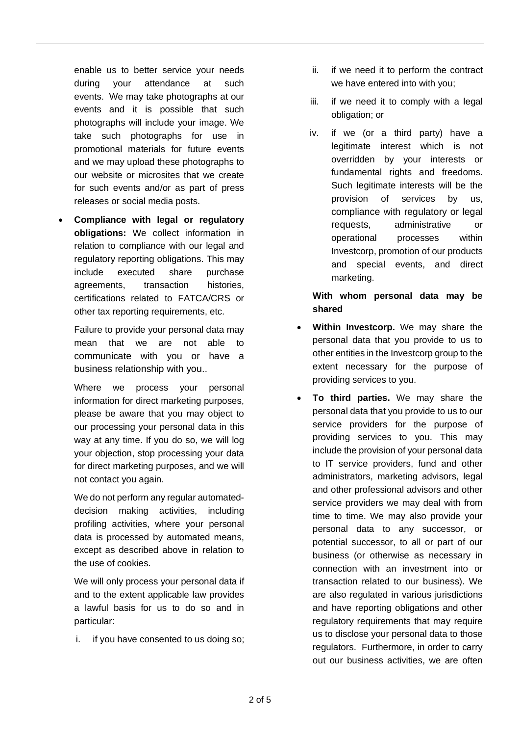enable us to better service your needs during your attendance at such events. We may take photographs at our events and it is possible that such photographs will include your image. We take such photographs for use in promotional materials for future events and we may upload these photographs to our website or microsites that we create for such events and/or as part of press releases or social media posts.

• **Compliance with legal or regulatory obligations:** We collect information in relation to compliance with our legal and regulatory reporting obligations. This may include executed share purchase agreements, transaction histories, certifications related to FATCA/CRS or other tax reporting requirements, etc.

Failure to provide your personal data may mean that we are not able to communicate with you or have a business relationship with you..

Where we process your personal information for direct marketing purposes, please be aware that you may object to our processing your personal data in this way at any time. If you do so, we will log your objection, stop processing your data for direct marketing purposes, and we will not contact you again.

We do not perform any regular automateddecision making activities, including profiling activities, where your personal data is processed by automated means, except as described above in relation to the use of cookies.

We will only process your personal data if and to the extent applicable law provides a lawful basis for us to do so and in particular:

i. if you have consented to us doing so;

- ii. if we need it to perform the contract we have entered into with you;
- iii. if we need it to comply with a legal obligation; or
- iv. if we (or a third party) have a legitimate interest which is not overridden by your interests or fundamental rights and freedoms. Such legitimate interests will be the provision of services by us, compliance with regulatory or legal requests, administrative or operational processes within Investcorp, promotion of our products and special events, and direct marketing.

**With whom personal data may be shared**

- **Within Investcorp.** We may share the personal data that you provide to us to other entities in the Investcorp group to the extent necessary for the purpose of providing services to you.
- **To third parties.** We may share the personal data that you provide to us to our service providers for the purpose of providing services to you. This may include the provision of your personal data to IT service providers, fund and other administrators, marketing advisors, legal and other professional advisors and other service providers we may deal with from time to time. We may also provide your personal data to any successor, or potential successor, to all or part of our business (or otherwise as necessary in connection with an investment into or transaction related to our business). We are also regulated in various jurisdictions and have reporting obligations and other regulatory requirements that may require us to disclose your personal data to those regulators. Furthermore, in order to carry out our business activities, we are often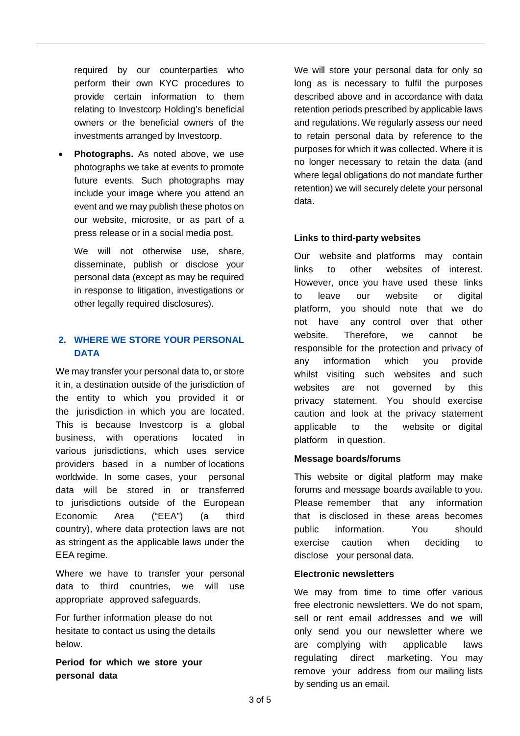required by our counterparties who perform their own KYC procedures to provide certain information to them relating to Investcorp Holding's beneficial owners or the beneficial owners of the investments arranged by Investcorp.

**Photographs.** As noted above, we use photographs we take at events to promote future events. Such photographs may include your image where you attend an event and we may publish these photos on our website, microsite, or as part of a press release or in a social media post.

We will not otherwise use, share, disseminate, publish or disclose your personal data (except as may be required in response to litigation, investigations or other legally required disclosures).

## **2. WHERE WE STORE YOUR PERSONAL DATA**

We may transfer your personal data to, or store it in, a destination outside of the jurisdiction of the entity to which you provided it or the jurisdiction in which you are located. This is because Investcorp is a global business, with operations located in various jurisdictions, which uses service providers based in a number of locations worldwide. In some cases, your personal data will be stored in or transferred to jurisdictions outside of the European Economic Area ("EEA") (a third country), where data protection laws are not as stringent as the applicable laws under the EEA regime.

Where we have to transfer your personal data to third countries, we will use appropriate approved safeguards.

For further information please do not hesitate to contact us using the details below.

**Period for which we store your personal data** 

We will store your personal data for only so long as is necessary to fulfil the purposes described above and in accordance with data retention periods prescribed by applicable laws and regulations. We regularly assess our need to retain personal data by reference to the purposes for which it was collected. Where it is no longer necessary to retain the data (and where legal obligations do not mandate further retention) we will securely delete your personal data.

## **Links to third-party websites**

Our website and platforms may contain links to other websites of interest. However, once you have used these links to leave our website or digital platform, you should note that we do not have any control over that other website. Therefore, we cannot be responsible for the protection and privacy of any information which you provide whilst visiting such websites and such websites are not governed by this privacy statement. You should exercise caution and look at the privacy statement applicable to the website or digital platform in question.

### **Message boards/forums**

This website or digital platform may make forums and message boards available to you. Please remember that any information that is disclosed in these areas becomes public information. You should exercise caution when deciding to disclose your personal data.

#### **Electronic newsletters**

We may from time to time offer various free electronic newsletters. We do not spam, sell or rent email addresses and we will only send you our newsletter where we are complying with applicable laws regulating direct marketing. You may remove your address from our mailing lists by sending us an email.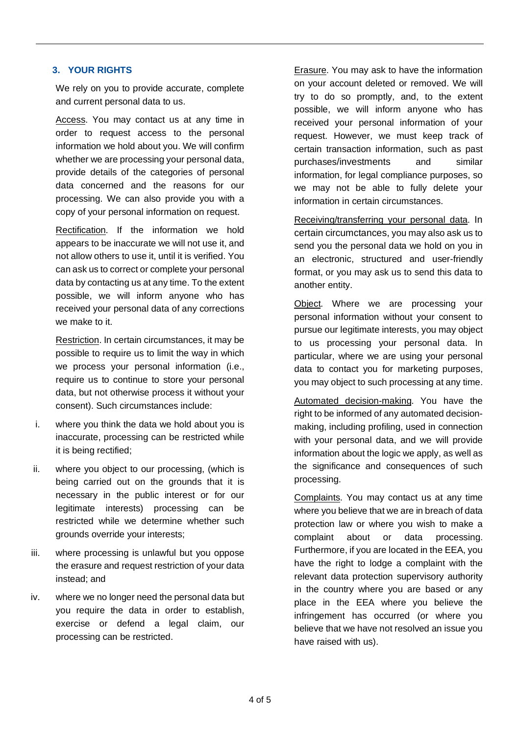### **3. YOUR RIGHTS**

We rely on you to provide accurate, complete and current personal data to us.

Access. You may contact us at any time in order to request access to the personal information we hold about you. We will confirm whether we are processing your personal data, provide details of the categories of personal data concerned and the reasons for our processing. We can also provide you with a copy of your personal information on request.

Rectification. If the information we hold appears to be inaccurate we will not use it, and not allow others to use it, until it is verified. You can ask us to correct or complete your personal data by contacting us at any time. To the extent possible, we will inform anyone who has received your personal data of any corrections we make to it.

Restriction. In certain circumstances, it may be possible to require us to limit the way in which we process your personal information (i.e., require us to continue to store your personal data, but not otherwise process it without your consent). Such circumstances include:

- i. where you think the data we hold about you is inaccurate, processing can be restricted while it is being rectified;
- ii. where you object to our processing, (which is being carried out on the grounds that it is necessary in the public interest or for our legitimate interests) processing can be restricted while we determine whether such grounds override your interests;
- iii. where processing is unlawful but you oppose the erasure and request restriction of your data instead; and
- iv. where we no longer need the personal data but you require the data in order to establish, exercise or defend a legal claim, our processing can be restricted.

Erasure. You may ask to have the information on your account deleted or removed. We will try to do so promptly, and, to the extent possible, we will inform anyone who has received your personal information of your request. However, we must keep track of certain transaction information, such as past purchases/investments and similar information, for legal compliance purposes, so we may not be able to fully delete your information in certain circumstances.

Receiving/transferring your personal data. In certain circumctances, you may also ask us to send you the personal data we hold on you in an electronic, structured and user-friendly format, or you may ask us to send this data to another entity.

Object. Where we are processing your personal information without your consent to pursue our legitimate interests, you may object to us processing your personal data. In particular, where we are using your personal data to contact you for marketing purposes, you may object to such processing at any time.

Automated decision-making. You have the right to be informed of any automated decisionmaking, including profiling, used in connection with your personal data, and we will provide information about the logic we apply, as well as the significance and consequences of such processing.

Complaints. You may contact us at any time where you believe that we are in breach of data protection law or where you wish to make a complaint about or data processing. Furthermore, if you are located in the EEA, you have the right to lodge a complaint with the relevant data protection supervisory authority in the country where you are based or any place in the EEA where you believe the infringement has occurred (or where you believe that we have not resolved an issue you have raised with us).